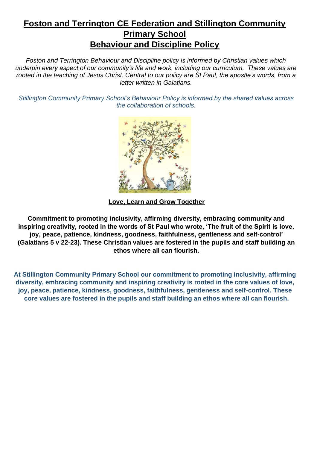## **Foston and Terrington CE Federation and Stillington Community Primary School Behaviour and Discipline Policy**

*Foston and Terrington Behaviour and Discipline policy is informed by Christian values which underpin every aspect of our community's life and work, including our curriculum. These values are rooted in the teaching of Jesus Christ. Central to our policy are St Paul, the apostle's words, from a letter written in Galatians.* 

*Stillington Community Primary School's Behaviour Policy is informed by the shared values across the collaboration of schools.*



**Love, Learn and Grow Together**

**Commitment to promoting inclusivity, affirming diversity, embracing community and inspiring creativity, rooted in the words of St Paul who wrote, 'The fruit of the Spirit is love, joy, peace, patience, kindness, goodness, faithfulness, gentleness and self-control' (Galatians 5 v 22-23). These Christian values are fostered in the pupils and staff building an ethos where all can flourish.** 

**At Stillington Community Primary School our commitment to promoting inclusivity, affirming diversity, embracing community and inspiring creativity is rooted in the core values of love, joy, peace, patience, kindness, goodness, faithfulness, gentleness and self-control. These core values are fostered in the pupils and staff building an ethos where all can flourish.**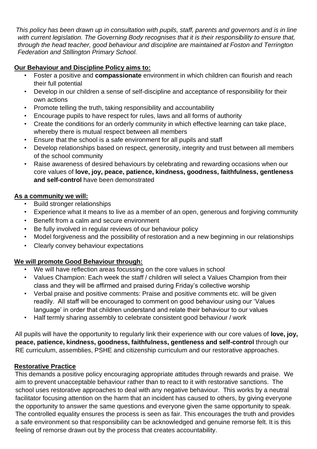*This policy has been drawn up in consultation with pupils, staff, parents and governors and is in line with current legislation. The Governing Body recognises that it is their responsibility to ensure that, through the head teacher, good behaviour and discipline are maintained at Foston and Terrington Federation and Stillington Primary School.*

## **Our Behaviour and Discipline Policy aims to:**

- Foster a positive and **compassionate** environment in which children can flourish and reach their full potential
- Develop in our children a sense of self-discipline and acceptance of responsibility for their own actions
- Promote telling the truth, taking responsibility and accountability
- Encourage pupils to have respect for rules, laws and all forms of authority
- Create the conditions for an orderly community in which effective learning can take place, whereby there is mutual respect between all members
- Ensure that the school is a safe environment for all pupils and staff
- Develop relationships based on respect, generosity, integrity and trust between all members of the school community
- Raise awareness of desired behaviours by celebrating and rewarding occasions when our core values of **love, joy, peace, patience, kindness, goodness, faithfulness, gentleness and self-control** have been demonstrated

## **As a community we will:**

- Build stronger relationships
- Experience what it means to live as a member of an open, generous and forgiving community
- Benefit from a calm and secure environment
- Be fully involved in regular reviews of our behaviour policy
- Model forgiveness and the possibility of restoration and a new beginning in our relationships
- Clearly convey behaviour expectations

## **We will promote Good Behaviour through:**

- We will have reflection areas focussing on the core values in school
- Values Champion: Each week the staff / children will select a Values Champion from their class and they will be affirmed and praised during Friday's collective worship
- Verbal praise and positive comments: Praise and positive comments etc. will be given readily. All staff will be encouraged to comment on good behaviour using our 'Values language' in order that children understand and relate their behaviour to our values
- Half termly sharing assembly to celebrate consistent good behaviour / work

All pupils will have the opportunity to regularly link their experience with our core values of **love, joy, peace, patience, kindness, goodness, faithfulness, gentleness and self-control** through our RE curriculum, assemblies, PSHE and citizenship curriculum and our restorative approaches.

## **Restorative Practice**

This demands a positive policy encouraging appropriate attitudes through rewards and praise. We aim to prevent unacceptable behaviour rather than to react to it with restorative sanctions. The school uses restorative approaches to deal with any negative behaviour. This works by a neutral facilitator focusing attention on the harm that an incident has caused to others, by giving everyone the opportunity to answer the same questions and everyone given the same opportunity to speak. The controlled equality ensures the process is seen as fair. This encourages the truth and provides a safe environment so that responsibility can be acknowledged and genuine remorse felt. It is this feeling of remorse drawn out by the process that creates accountability.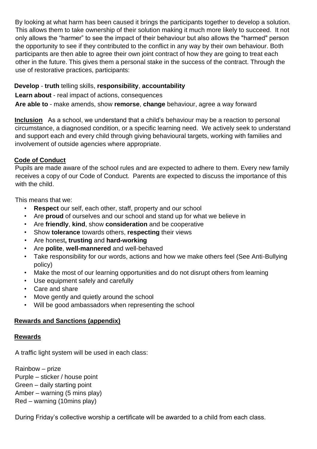By looking at what harm has been caused it brings the participants together to develop a solution. This allows them to take ownership of their solution making it much more likely to succeed. It not only allows the "harmer" to see the impact of their behaviour but also allows the "harmed" person the opportunity to see if they contributed to the conflict in any way by their own behaviour. Both participants are then able to agree their own joint contract of how they are going to treat each other in the future. This gives them a personal stake in the success of the contract. Through the use of restorative practices, participants:

### **Develop** - **truth** telling skills, **responsibility**, **accountability**

**Learn about** - real impact of actions, consequences

**Are able to** - make amends, show **remorse**, **change** behaviour, agree a way forward

**Inclusion** As a school, we understand that a child's behaviour may be a reaction to personal circumstance, a diagnosed condition, or a specific learning need. We actively seek to understand and support each and every child through giving behavioural targets, working with families and involvement of outside agencies where appropriate.

## **Code of Conduct**

Pupils are made aware of the school rules and are expected to adhere to them. Every new family receives a copy of our Code of Conduct. Parents are expected to discuss the importance of this with the child.

This means that we:

- **Respect** our self, each other, staff, property and our school
- Are **proud** of ourselves and our school and stand up for what we believe in
- Are **friendly**, **kind**, show **consideration** and be cooperative
- Show **tolerance** towards others, **respecting** their views
- Are honest**, trusting** and **hard-working**
- Are **polite**, **well-mannered** and well-behaved
- Take responsibility for our words, actions and how we make others feel (See Anti-Bullying policy)
- Make the most of our learning opportunities and do not disrupt others from learning
- Use equipment safely and carefully
- Care and share
- Move gently and quietly around the school
- Will be good ambassadors when representing the school

## **Rewards and Sanctions (appendix)**

#### **Rewards**

A traffic light system will be used in each class:

Rainbow – prize Purple – sticker / house point Green – daily starting point Amber – warning (5 mins play) Red – warning (10mins play)

During Friday's collective worship a certificate will be awarded to a child from each class.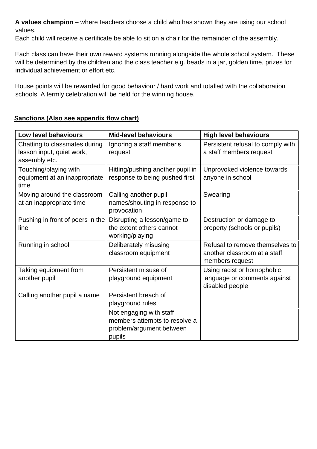**A values champion** – where teachers choose a child who has shown they are using our school values.

Each child will receive a certificate be able to sit on a chair for the remainder of the assembly.

Each class can have their own reward systems running alongside the whole school system. These will be determined by the children and the class teacher e.g. beads in a jar, golden time, prizes for individual achievement or effort etc.

House points will be rewarded for good behaviour / hard work and totalled with the collaboration schools. A termly celebration will be held for the winning house.

## **Sanctions (Also see appendix flow chart)**

| Low level behaviours                                                        | <b>Mid-level behaviours</b>                                                                    | <b>High level behaviours</b>                                                       |  |
|-----------------------------------------------------------------------------|------------------------------------------------------------------------------------------------|------------------------------------------------------------------------------------|--|
| Chatting to classmates during<br>lesson input, quiet work,<br>assembly etc. | Ignoring a staff member's<br>request                                                           | Persistent refusal to comply with<br>a staff members request                       |  |
| Touching/playing with<br>equipment at an inappropriate<br>time              | Hitting/pushing another pupil in<br>response to being pushed first                             | Unprovoked violence towards<br>anyone in school                                    |  |
| Moving around the classroom<br>at an inappropriate time                     | Calling another pupil<br>names/shouting in response to<br>provocation                          | Swearing                                                                           |  |
| Pushing in front of peers in the<br>line                                    | Disrupting a lesson/game to<br>the extent others cannot<br>working/playing                     | Destruction or damage to<br>property (schools or pupils)                           |  |
| Running in school                                                           | Deliberately misusing<br>classroom equipment                                                   | Refusal to remove themselves to<br>another classroom at a staff<br>members request |  |
| Taking equipment from<br>another pupil                                      | Persistent misuse of<br>playground equipment                                                   | Using racist or homophobic<br>language or comments against<br>disabled people      |  |
| Calling another pupil a name                                                | Persistent breach of<br>playground rules                                                       |                                                                                    |  |
|                                                                             | Not engaging with staff<br>members attempts to resolve a<br>problem/argument between<br>pupils |                                                                                    |  |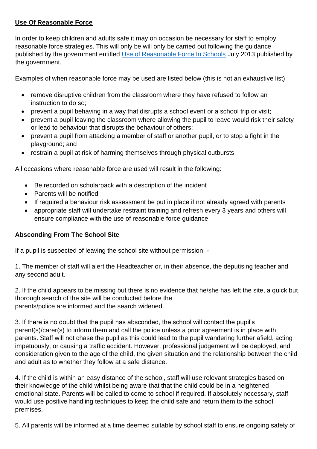## **Use Of Reasonable Force**

In order to keep children and adults safe it may on occasion be necessary for staff to employ reasonable force strategies. This will only be will only be carried out following the guidance published by the government entitled [Use of Reasonable Force In Schools](https://assets.publishing.service.gov.uk/government/uploads/system/uploads/attachment_data/file/444051/Use_of_reasonable_force_advice_Reviewed_July_2015.pdf) July 2013 published by the government.

Examples of when reasonable force may be used are listed below (this is not an exhaustive list)

- remove disruptive children from the classroom where they have refused to follow an instruction to do so;
- prevent a pupil behaving in a way that disrupts a school event or a school trip or visit;
- prevent a pupil leaving the classroom where allowing the pupil to leave would risk their safety or lead to behaviour that disrupts the behaviour of others;
- prevent a pupil from attacking a member of staff or another pupil, or to stop a fight in the playground; and
- restrain a pupil at risk of harming themselves through physical outbursts.

All occasions where reasonable force are used will result in the following:

- Be recorded on scholarpack with a description of the incident
- Parents will be notified
- If required a behaviour risk assessment be put in place if not already agreed with parents
- appropriate staff will undertake restraint training and refresh every 3 years and others will ensure compliance with the use of reasonable force guidance

#### **Absconding From The School Site**

If a pupil is suspected of leaving the school site without permission: -

1. The member of staff will alert the Headteacher or, in their absence, the deputising teacher and any second adult.

2. If the child appears to be missing but there is no evidence that he/she has left the site, a quick but thorough search of the site will be conducted before the parents/police are informed and the search widened.

3. If there is no doubt that the pupil has absconded, the school will contact the pupil's parent(s)/carer(s) to inform them and call the police unless a prior agreement is in place with parents. Staff will not chase the pupil as this could lead to the pupil wandering further afield, acting impetuously, or causing a traffic accident. However, professional judgement will be deployed, and consideration given to the age of the child, the given situation and the relationship between the child and adult as to whether they follow at a safe distance.

4. If the child is within an easy distance of the school, staff will use relevant strategies based on their knowledge of the child whilst being aware that that the child could be in a heightened emotional state. Parents will be called to come to school if required. If absolutely necessary, staff would use positive handling techniques to keep the child safe and return them to the school premises.

5. All parents will be informed at a time deemed suitable by school staff to ensure ongoing safety of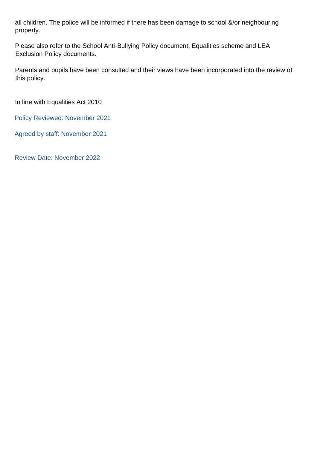all children. The police will be informed if there has been damage to school &/or neighbouring property.

Please also refer to the School Anti-Bullying Policy document, Equalities scheme and LEA Exclusion Policy documents.

Parents and pupils have been consulted and their views have been incorporated into the review of this policy.

In line with Equalities Act 2010

Policy Reviewed: November 2021

Agreed by staff: November 2021

Review Date: November 2022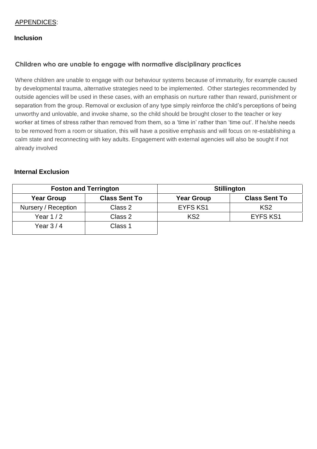#### APPENDICES:

#### **Inclusion**

#### **Children who are unable to engage with normative disciplinary practices**

Where children are unable to engage with our behaviour systems because of immaturity, for example caused by developmental trauma, alternative strategies need to be implemented. Other startegies recommended by outside agencies will be used in these cases, with an emphasis on nurture rather than reward, punishment or separation from the group. Removal or exclusion of any type simply reinforce the child's perceptions of being unworthy and unlovable, and invoke shame, so the child should be brought closer to the teacher or key worker at times of stress rather than removed from them, so a 'time in' rather than 'time out'. If he/she needs to be removed from a room or situation, this will have a positive emphasis and will focus on re-establishing a calm state and reconnecting with key adults. Engagement with external agencies will also be sought if not already involved

#### **Internal Exclusion**

| <b>Foston and Terrington</b> |                      | <b>Stillington</b> |                      |
|------------------------------|----------------------|--------------------|----------------------|
| <b>Year Group</b>            | <b>Class Sent To</b> | <b>Year Group</b>  | <b>Class Sent To</b> |
| Nursery / Reception          | Class 2              | <b>EYFS KS1</b>    | KS <sub>2</sub>      |
| Year $1/2$                   | Class 2              | KS <sub>2</sub>    | <b>EYFS KS1</b>      |
| Year $3/4$                   | Class 1              |                    |                      |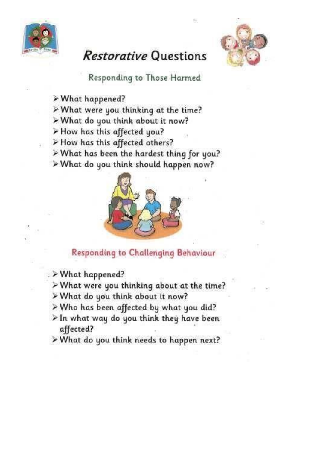

# Restorative Questions



Responding to Those Harmed

- > What happened?
- > What were you thinking at the time?
- > What do you think about it now?
- > How has this affected you?
- > How has this affected others?
- > What has been the hardest thing for you?
- > What do you think should happen now?



## Responding to Challenging Behaviour

- . > What happened?
	- > What were you thinking about at the time?
	- > What do you think about it now?
	- > Who has been affected by what you did?
- $\triangleright$  In what way do you think they have been affected?
- > What do you think needs to happen next?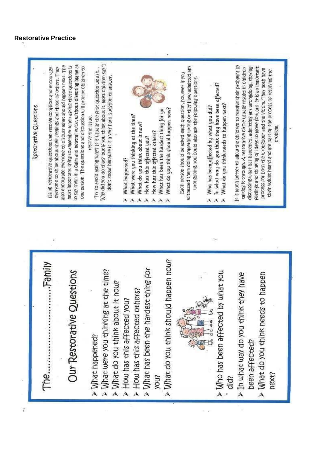#### **Restorative Practice**

ć

Why did you do that? but if you think about it, most children say T iso encourage everyone to discuss what should happen next. The to say them in a Calm and neutral voice, without directing blame at It is much better to allow the children to resolve their problems by most important thing to remember when asking these questions is one person. The questions and discussion will prompt children to witnessed them doing something wrong or they have admitted any discussing what has happened, admitting any wrongdoing, sharing everyone to think about their Feelings and those of others. They reelings and thinking of ideas to move forward. It is an important Using restorative questions can resolve conflicts and encourage Try to avoid asking 'uny? It is usually the first question we ask... calking it chrough. A restorable circle usually results in children process for both the urongdoer and the Victim. They both have their voices heard and are part of the process of resolving the Each person should be asked each question, however if you don't know' because it is a very hard question to answer. urongdoing, you could also ask the following questions. > Who has been affected by what you did?<br>> In what way do you think they have been affected?<br>> What do you think needs to happen next? What do you think needs to happen next? **Restorative Questions** What has been the hardest thing for yo What do you think should happen now? What were you thinking at the time? resolve the issue. What do you think about it now? problem. How has this affected others? How has this affected you? What happened? AAAAAAA > What do you think should happen now? > What has been the hardest thing for Our Restorative Questions > What were you thinking at the time? > Who has been affected by what you > In what way do you think they have > What do you think needs to happen > What do you think about it now? > How has this affected others? How has this affected you? > What happened? been affected? hext? Snok did?  $\lambda$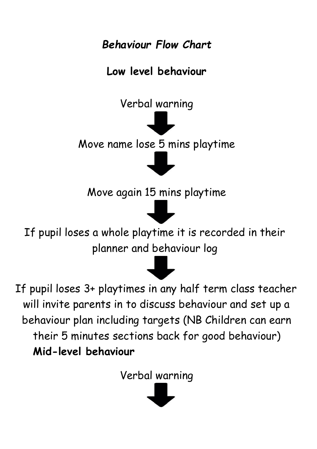*Behaviour Flow Chart* 

# **Low level behaviour**

Verbal warning

Move name lose 5 mins playtime

Move again 15 mins playtime

If pupil loses a whole playtime it is recorded in their planner and behaviour log



If pupil loses 3+ playtimes in any half term class teacher will invite parents in to discuss behaviour and set up a behaviour plan including targets (NB Children can earn their 5 minutes sections back for good behaviour) **Mid-level behaviour** 

Verbal warning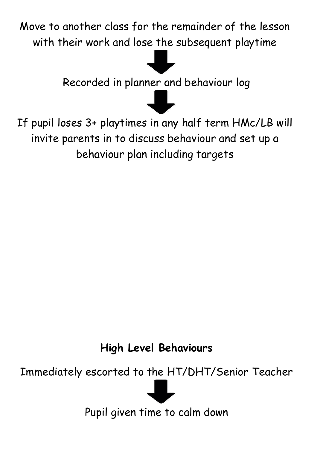Move to another class for the remainder of the lesson with their work and lose the subsequent playtime

Recorded in planner and behaviour log

If pupil loses 3+ playtimes in any half term HMc/LB will invite parents in to discuss behaviour and set up a behaviour plan including targets

**High Level Behaviours** 

Immediately escorted to the HT/DHT/Senior Teacher



Pupil given time to calm down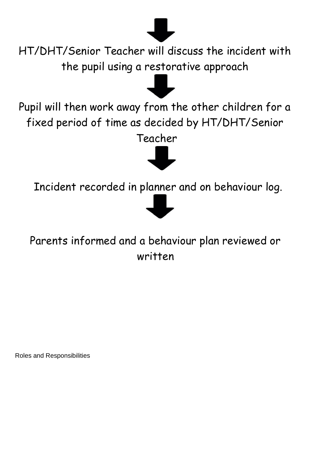

HT/DHT/Senior Teacher will discuss the incident with the pupil using a restorative approach

Pupil will then work away from the other children for a fixed period of time as decided by HT/DHT/Senior

Teacher



Incident recorded in planner and on behaviour log.



Parents informed and a behaviour plan reviewed or written

Roles and Responsibilities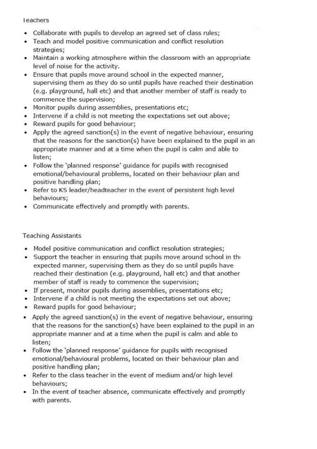#### leachers

- Collaborate with pupils to develop an agreed set of class rules:  $\bullet$
- Teach and model positive communication and conflict resolution  $\bullet$ strategies;
- Maintain a working atmosphere within the classroom with an appropriate level of noise for the activity.
- Ensure that pupils move around school in the expected manner. supervising them as they do so until pupils have reached their destination (e.g. playground, hall etc) and that another member of staff is ready to commence the supervision;
- Monitor pupils during assemblies, presentations etc;
- Intervene if a child is not meeting the expectations set out above;
- Reward pupils for good behaviour;
- Apply the agreed sanction(s) in the event of negative behaviour, ensuring that the reasons for the sanction(s) have been explained to the pupil in an appropriate manner and at a time when the pupil is calm and able to listen;
- Follow the 'planned response' guidance for pupils with recognised emotional/behavioural problems, located on their behaviour plan and positive handling plan;
- Refer to KS leader/headteacher in the event of persistent high level behaviours;
- Communicate effectively and promptly with parents.

#### **Teaching Assistants**

- Model positive communication and conflict resolution strategies;
- Support the teacher in ensuring that pupils move around school in the expected manner, supervising them as they do so until pupils have reached their destination (e.g. playground, hall etc) and that another member of staff is ready to commence the supervision;
- If present, monitor pupils during assemblies, presentations etc;
- Intervene if a child is not meeting the expectations set out above;
- Reward pupils for good behaviour;
- Apply the agreed sanction(s) in the event of negative behaviour, ensuring that the reasons for the sanction(s) have been explained to the pupil in an appropriate manner and at a time when the pupil is calm and able to listen:
- Follow the 'planned response' guidance for pupils with recognised emotional/behavioural problems, located on their behaviour plan and positive handling plan;
- Refer to the class teacher in the event of medium and/or high level behaviours:
- In the event of teacher absence, communicate effectively and promptly with parents.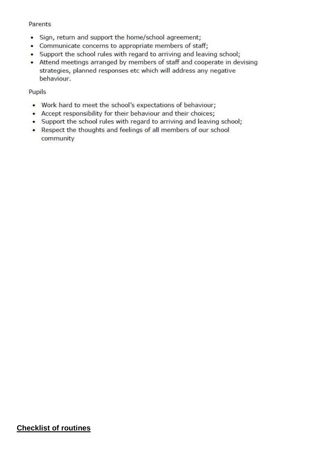#### Parents

- Sign, return and support the home/school agreement;
- Communicate concerns to appropriate members of staff;
- Support the school rules with regard to arriving and leaving school;
- Attend meetings arranged by members of staff and cooperate in devising strategies, planned responses etc which will address any negative behaviour.

### Pupils

- Work hard to meet the school's expectations of behaviour;
- Accept responsibility for their behaviour and their choices;
- Support the school rules with regard to arriving and leaving school;
- Respect the thoughts and feelings of all members of our school community